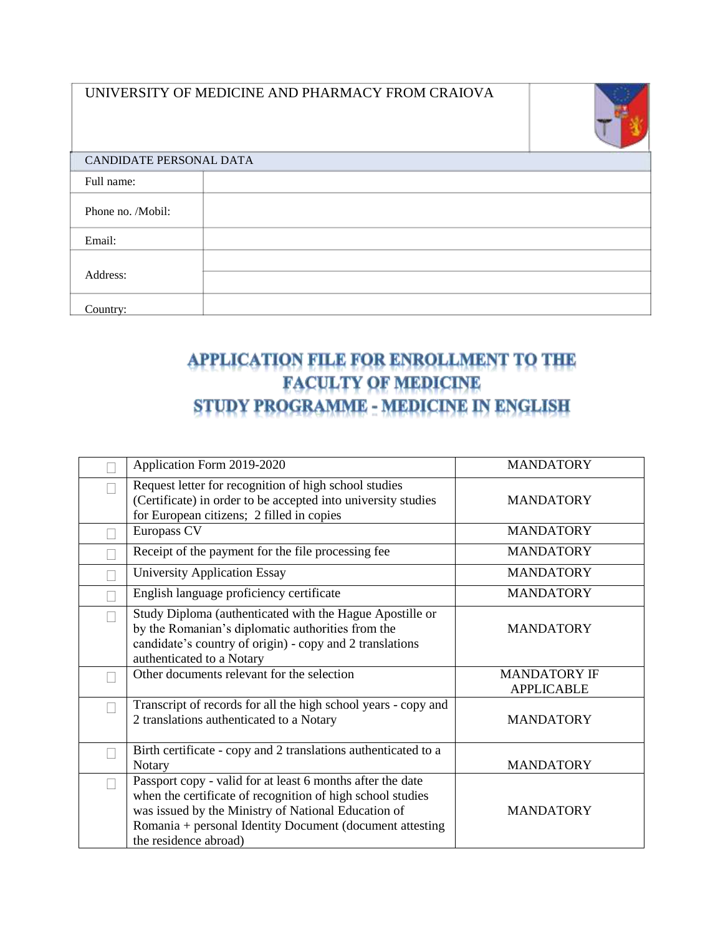|                         | UNIVERSITY OF MEDICINE AND PHARMACY FROM CRAIOVA |  |  |
|-------------------------|--------------------------------------------------|--|--|
| CANDIDATE PERSONAL DATA |                                                  |  |  |
| Full name:              |                                                  |  |  |
| Phone no. /Mobil:       |                                                  |  |  |
| Email:                  |                                                  |  |  |
| Address:                |                                                  |  |  |
| Country:                |                                                  |  |  |

## APPLICATION FILE FOR ENROLLMENT TO THE **FACULTY OF MEDICINE** STUDY PROGRAMME - MEDICINE IN ENGLISH

| Application Form 2019-2020                                                                                                                                                                                                                                           | <b>MANDATORY</b>                         |
|----------------------------------------------------------------------------------------------------------------------------------------------------------------------------------------------------------------------------------------------------------------------|------------------------------------------|
| Request letter for recognition of high school studies<br>(Certificate) in order to be accepted into university studies<br>for European citizens; 2 filled in copies                                                                                                  | <b>MANDATORY</b>                         |
| Europass CV                                                                                                                                                                                                                                                          | <b>MANDATORY</b>                         |
| Receipt of the payment for the file processing fee                                                                                                                                                                                                                   | <b>MANDATORY</b>                         |
| <b>University Application Essay</b>                                                                                                                                                                                                                                  | <b>MANDATORY</b>                         |
| English language proficiency certificate                                                                                                                                                                                                                             | <b>MANDATORY</b>                         |
| Study Diploma (authenticated with the Hague Apostille or<br>by the Romanian's diplomatic authorities from the<br>candidate's country of origin) - copy and 2 translations<br>authenticated to a Notary                                                               | <b>MANDATORY</b>                         |
| Other documents relevant for the selection                                                                                                                                                                                                                           | <b>MANDATORY IF</b><br><b>APPLICABLE</b> |
| Transcript of records for all the high school years - copy and<br>2 translations authenticated to a Notary                                                                                                                                                           | <b>MANDATORY</b>                         |
| Birth certificate - copy and 2 translations authenticated to a<br>Notary                                                                                                                                                                                             | <b>MANDATORY</b>                         |
| Passport copy - valid for at least 6 months after the date<br>when the certificate of recognition of high school studies<br>was issued by the Ministry of National Education of<br>Romania + personal Identity Document (document attesting<br>the residence abroad) | <b>MANDATORY</b>                         |